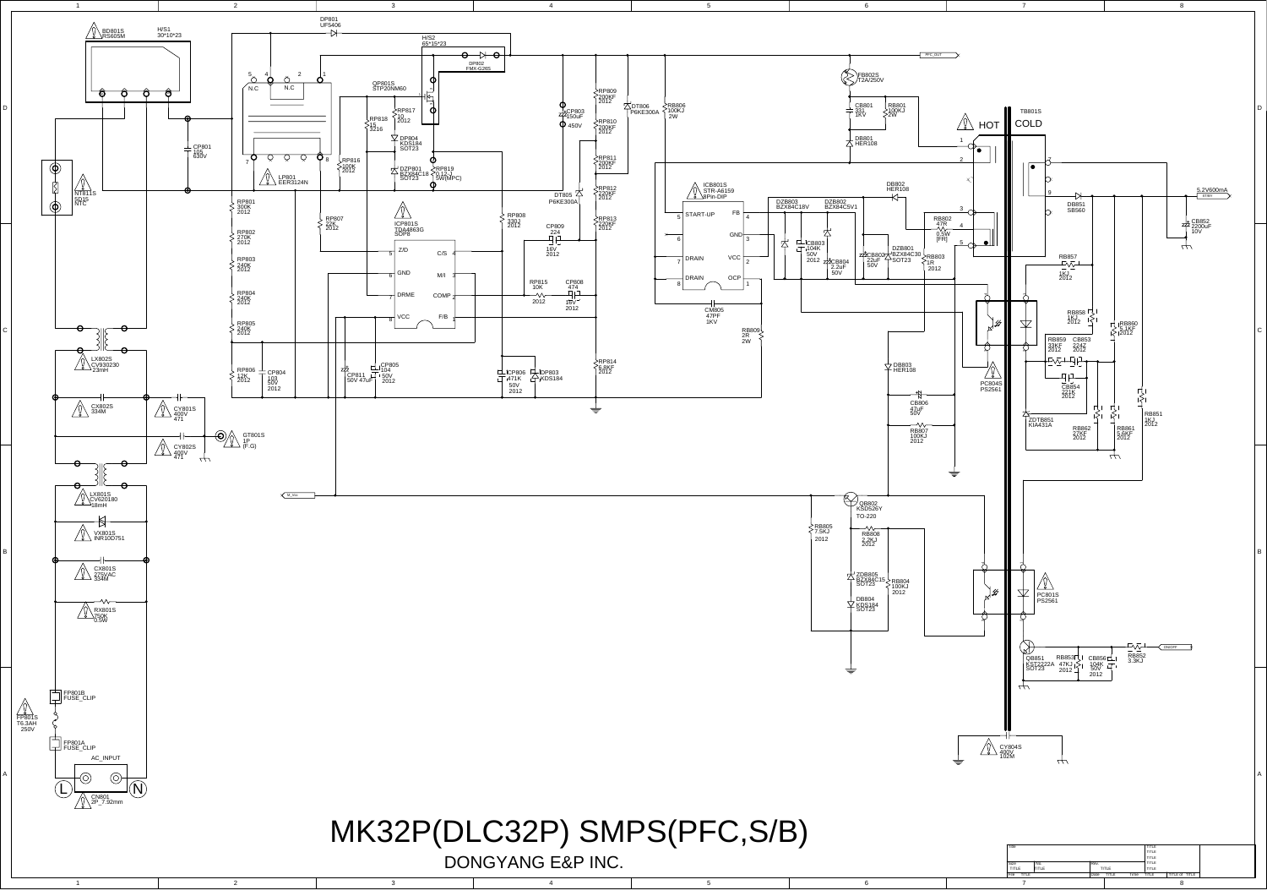